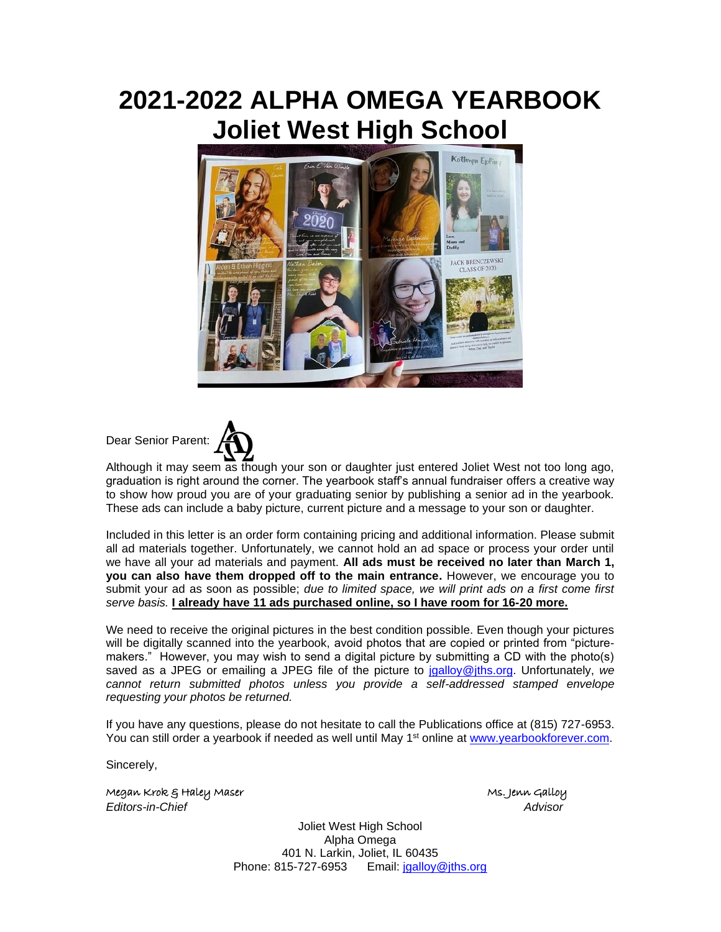## **2021-2022 ALPHA OMEGA YEARBOOK Joliet West High School**



Dear Senior Parent:



Although it may seem as though your son or daughter just entered Joliet West not too long ago, graduation is right around the corner. The yearbook staff's annual fundraiser offers a creative way to show how proud you are of your graduating senior by publishing a senior ad in the yearbook. These ads can include a baby picture, current picture and a message to your son or daughter.

Included in this letter is an order form containing pricing and additional information. Please submit all ad materials together. Unfortunately, we cannot hold an ad space or process your order until we have all your ad materials and payment. **All ads must be received no later than March 1, you can also have them dropped off to the main entrance.** However, we encourage you to submit your ad as soon as possible; *due to limited space, we will print ads on a first come first serve basis.* **I already have 11 ads purchased online, so I have room for 16-20 more.** 

We need to receive the original pictures in the best condition possible. Even though your pictures will be digitally scanned into the yearbook, avoid photos that are copied or printed from "picturemakers." However, you may wish to send a digital picture by submitting a CD with the photo(s) saved as a JPEG or emailing a JPEG file of the picture to [jgalloy@jths.org.](mailto:jgalloy@jths.org) Unfortunately, *we cannot return submitted photos unless you provide a self-addressed stamped envelope requesting your photos be returned.*

If you have any questions, please do not hesitate to call the Publications office at (815) 727-6953. You can still order a yearbook if needed as well until May 1<sup>st</sup> online at [www.yearbookforever.com.](http://www.yearbookforever.com/)

Sincerely,

Megan Krok & Haley Maser Ms. Jenn Galloy *Editors-in-Chief Advisor*

Joliet West High School Alpha Omega 401 N. Larkin, Joliet, IL 60435 Phone: 815-727-6953 Email: [jgalloy@jths.org](mailto:jgalloy@jths.org)